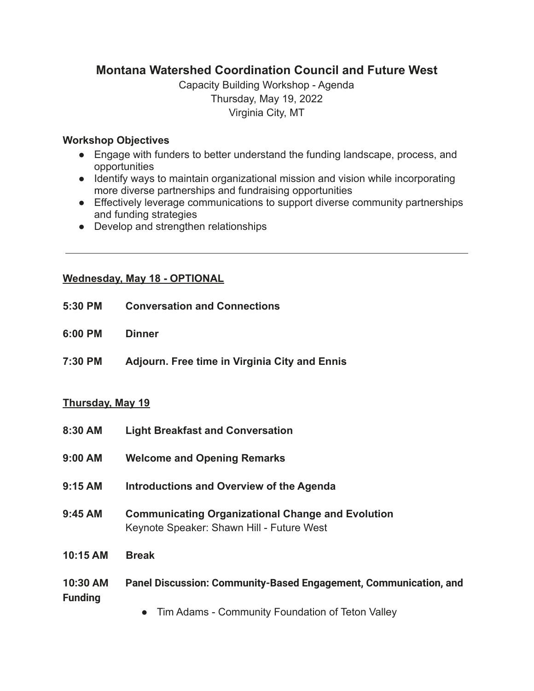# **Montana Watershed Coordination Council and Future West**

Capacity Building Workshop - Agenda Thursday, May 19, 2022 Virginia City, MT

## **Workshop Objectives**

- Engage with funders to better understand the funding landscape, process, and opportunities
- **●** Identify ways to maintain organizational mission and vision while incorporating more diverse partnerships and fundraising opportunities
- Effectively leverage communications to support diverse community partnerships and funding strategies
- Develop and strengthen relationships

## **Wednesday, May 18 - OPTIONAL**

- **5:30 PM Conversation and Connections**
- **6:00 PM Dinner**
- **7:30 PM Adjourn. Free time in Virginia City and Ennis**

#### **Thursday, May 19**

- **8:30 AM Light Breakfast and Conversation**
- **9:00 AM Welcome and Opening Remarks**
- **9:15 AM Introductions and Overview of the Agenda**
- **9:45 AM Communicating Organizational Change and Evolution** Keynote Speaker: Shawn Hill - Future West
- **10:15 AM Break**

# **10:30 AM Panel Discussion: Community-Based Engagement, Communication, and Funding**

• Tim Adams - Community Foundation of Teton Valley